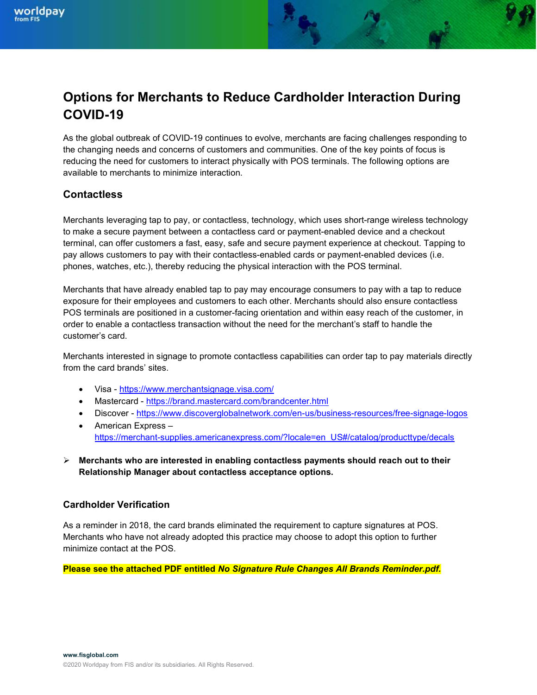# Options for Merchants to Reduce Cardholder Interaction During COVID-19

As the global outbreak of COVID-19 continues to evolve, merchants are facing challenges responding to the changing needs and concerns of customers and communities. One of the key points of focus is reducing the need for customers to interact physically with POS terminals. The following options are available to merchants to minimize interaction.

### **Contactless**

Merchants leveraging tap to pay, or contactless, technology, which uses short-range wireless technology to make a secure payment between a contactless card or payment-enabled device and a checkout terminal, can offer customers a fast, easy, safe and secure payment experience at checkout. Tapping to pay allows customers to pay with their contactless-enabled cards or payment-enabled devices (i.e. phones, watches, etc.), thereby reducing the physical interaction with the POS terminal.

Merchants that have already enabled tap to pay may encourage consumers to pay with a tap to reduce exposure for their employees and customers to each other. Merchants should also ensure contactless POS terminals are positioned in a customer-facing orientation and within easy reach of the customer, in order to enable a contactless transaction without the need for the merchant's staff to handle the customer's card.

Merchants interested in signage to promote contactless capabilities can order tap to pay materials directly from the card brands' sites.

- Visa https://www.merchantsignage.visa.com/
- Mastercard https://brand.mastercard.com/brandcenter.html
- Discover https://www.discoverglobalnetwork.com/en-us/business-resources/free-signage-logos
- American Express https://merchant-supplies.americanexpress.com/?locale=en\_US#/catalog/producttype/decals

 $\triangleright$  Merchants who are interested in enabling contactless payments should reach out to their Relationship Manager about contactless acceptance options.

#### Cardholder Verification

As a reminder in 2018, the card brands eliminated the requirement to capture signatures at POS. Merchants who have not already adopted this practice may choose to adopt this option to further minimize contact at the POS.

Please see the attached PDF entitled No Signature Rule Changes All Brands Reminder.pdf.